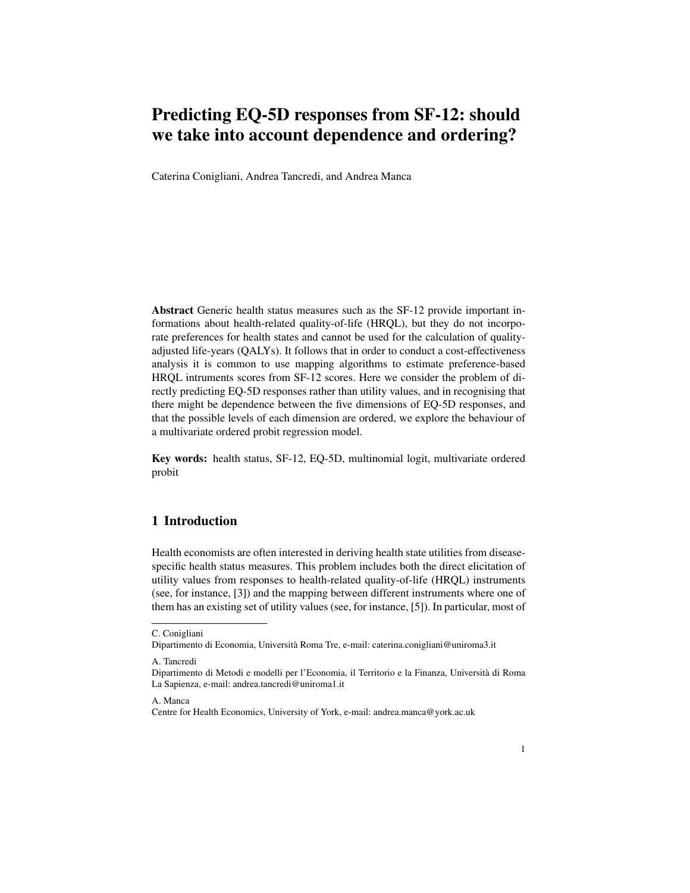# Predicting EQ-5D responses from SF-12: should we take into account dependence and ordering?

Caterina Conigliani, Andrea Tancredi, and Andrea Manca

Abstract Generic health status measures such as the SF-12 provide important informations about health-related quality-of-life (HRQL), but they do not incorporate preferences for health states and cannot be used for the calculation of qualityadjusted life-years (QALYs). It follows that in order to conduct a cost-effectiveness analysis it is common to use mapping algorithms to estimate preference-based HRQL intruments scores from SF-12 scores. Here we consider the problem of directly predicting EQ-5D responses rather than utility values, and in recognising that there might be dependence between the five dimensions of EQ-5D responses, and that the possible levels of each dimension are ordered, we explore the behaviour of a multivariate ordered probit regression model.

Key words: health status, SF-12, EQ-5D, multinomial logit, multivariate ordered probit

## 1 Introduction

Health economists are often interested in deriving health state utilities from diseasespecific health status measures. This problem includes both the direct elicitation of utility values from responses to health-related quality-of-life (HRQL) instruments (see, for instance, [3]) and the mapping between different instruments where one of them has an existing set of utility values (see, for instance, [5]). In particular, most of

A. Tancredi

A. Manca

C. Conigliani

Dipartimento di Economia, Universita Roma Tre, e-mail: caterina.conigliani@uniroma3.it `

Dipartimento di Metodi e modelli per l'Economia, il Territorio e la Finanza, Universita di Roma ` La Sapienza, e-mail: andrea.tancredi@uniroma1.it

Centre for Health Economics, University of York, e-mail: andrea.manca@york.ac.uk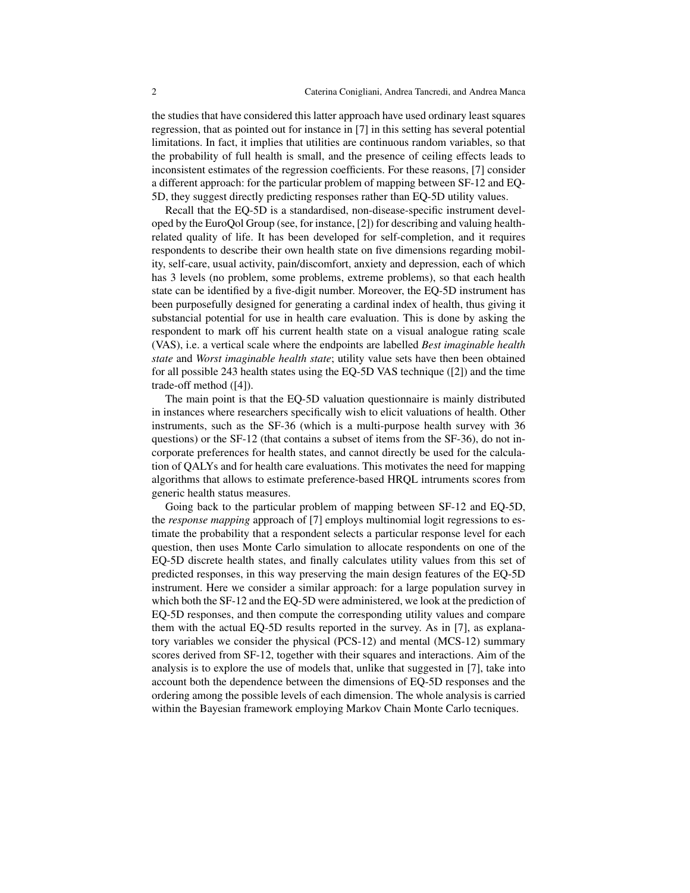the studies that have considered this latter approach have used ordinary least squares regression, that as pointed out for instance in [7] in this setting has several potential limitations. In fact, it implies that utilities are continuous random variables, so that the probability of full health is small, and the presence of ceiling effects leads to inconsistent estimates of the regression coefficients. For these reasons, [7] consider a different approach: for the particular problem of mapping between SF-12 and EQ-5D, they suggest directly predicting responses rather than EQ-5D utility values.

Recall that the EQ-5D is a standardised, non-disease-specific instrument developed by the EuroQol Group (see, for instance, [2]) for describing and valuing healthrelated quality of life. It has been developed for self-completion, and it requires respondents to describe their own health state on five dimensions regarding mobility, self-care, usual activity, pain/discomfort, anxiety and depression, each of which has 3 levels (no problem, some problems, extreme problems), so that each health state can be identified by a five-digit number. Moreover, the EQ-5D instrument has been purposefully designed for generating a cardinal index of health, thus giving it substancial potential for use in health care evaluation. This is done by asking the respondent to mark off his current health state on a visual analogue rating scale (VAS), i.e. a vertical scale where the endpoints are labelled *Best imaginable health state* and *Worst imaginable health state*; utility value sets have then been obtained for all possible 243 health states using the EQ-5D VAS technique ([2]) and the time trade-off method ([4]).

The main point is that the EQ-5D valuation questionnaire is mainly distributed in instances where researchers specifically wish to elicit valuations of health. Other instruments, such as the SF-36 (which is a multi-purpose health survey with 36 questions) or the SF-12 (that contains a subset of items from the SF-36), do not incorporate preferences for health states, and cannot directly be used for the calculation of QALYs and for health care evaluations. This motivates the need for mapping algorithms that allows to estimate preference-based HRQL intruments scores from generic health status measures.

Going back to the particular problem of mapping between SF-12 and EQ-5D, the *response mapping* approach of [7] employs multinomial logit regressions to estimate the probability that a respondent selects a particular response level for each question, then uses Monte Carlo simulation to allocate respondents on one of the EQ-5D discrete health states, and finally calculates utility values from this set of predicted responses, in this way preserving the main design features of the EQ-5D instrument. Here we consider a similar approach: for a large population survey in which both the SF-12 and the EQ-5D were administered, we look at the prediction of EQ-5D responses, and then compute the corresponding utility values and compare them with the actual EQ-5D results reported in the survey. As in [7], as explanatory variables we consider the physical (PCS-12) and mental (MCS-12) summary scores derived from SF-12, together with their squares and interactions. Aim of the analysis is to explore the use of models that, unlike that suggested in [7], take into account both the dependence between the dimensions of EQ-5D responses and the ordering among the possible levels of each dimension. The whole analysis is carried within the Bayesian framework employing Markov Chain Monte Carlo tecniques.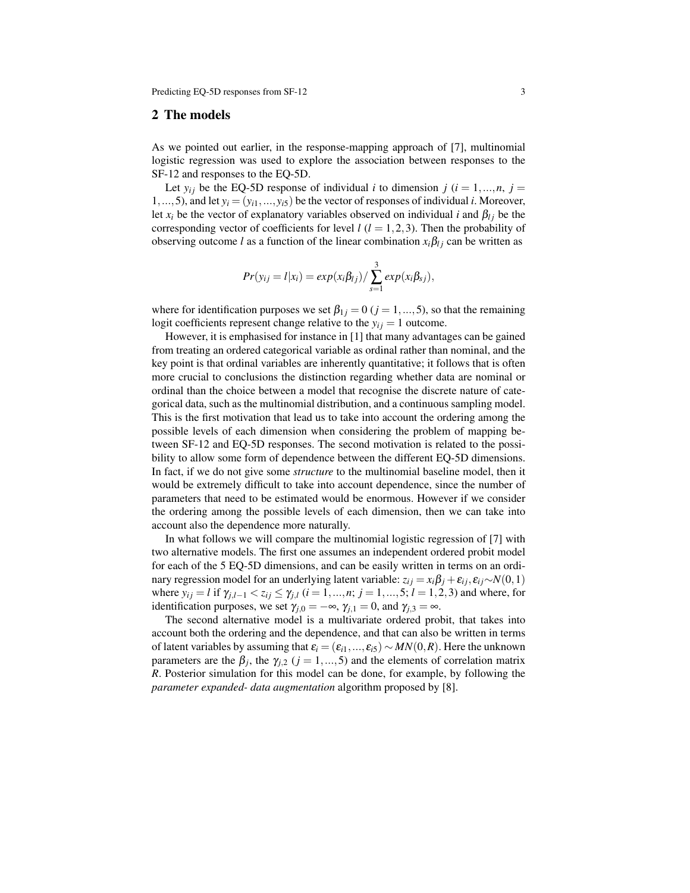### 2 The models

As we pointed out earlier, in the response-mapping approach of [7], multinomial logistic regression was used to explore the association between responses to the SF-12 and responses to the EQ-5D.

Let  $y_{ij}$  be the EQ-5D response of individual *i* to dimension  $j$  ( $i = 1,...,n$ ,  $j =$ 1,..., 5), and let  $y_i = (y_{i1},...,y_{i5})$  be the vector of responses of individual *i*. Moreover, let  $x_i$  be the vector of explanatory variables observed on individual *i* and  $\beta_i$  be the corresponding vector of coefficients for level  $l$  ( $l = 1, 2, 3$ ). Then the probability of observing outcome *l* as a function of the linear combination  $x_i \beta_{l j}$  can be written as

$$
Pr(y_{ij} = l|x_i) = exp(x_i\beta_{lj})/\sum_{s=1}^{3} exp(x_i\beta_{sj}),
$$

where for identification purposes we set  $\beta_{1j} = 0$  ( $j = 1, ..., 5$ ), so that the remaining logit coefficients represent change relative to the  $y_{ij} = 1$  outcome.

However, it is emphasised for instance in [1] that many advantages can be gained from treating an ordered categorical variable as ordinal rather than nominal, and the key point is that ordinal variables are inherently quantitative; it follows that is often more crucial to conclusions the distinction regarding whether data are nominal or ordinal than the choice between a model that recognise the discrete nature of categorical data, such as the multinomial distribution, and a continuous sampling model. This is the first motivation that lead us to take into account the ordering among the possible levels of each dimension when considering the problem of mapping between SF-12 and EQ-5D responses. The second motivation is related to the possibility to allow some form of dependence between the different EQ-5D dimensions. In fact, if we do not give some *structure* to the multinomial baseline model, then it would be extremely difficult to take into account dependence, since the number of parameters that need to be estimated would be enormous. However if we consider the ordering among the possible levels of each dimension, then we can take into account also the dependence more naturally.

In what follows we will compare the multinomial logistic regression of [7] with two alternative models. The first one assumes an independent ordered probit model for each of the 5 EQ-5D dimensions, and can be easily written in terms on an ordinary regression model for an underlying latent variable:  $z_{ii} = x_i \beta_i + \varepsilon_{ii}$ ,  $\varepsilon_{ii} \sim N(0,1)$ where  $y_{ij} = l$  if  $\gamma_{j,l-1} < z_{ij} \leq \gamma_{j,l}$  (*i* = 1,...,*n*; *j* = 1,...,5; *l* = 1,2,3) and where, for identification purposes, we set  $\gamma_{j,0} = -\infty$ ,  $\gamma_{j,1} = 0$ , and  $\gamma_{j,3} = \infty$ .

The second alternative model is a multivariate ordered probit, that takes into account both the ordering and the dependence, and that can also be written in terms of latent variables by assuming that  $\varepsilon_i = (\varepsilon_{i1},...,\varepsilon_{i5}) \sim MN(0,R)$ . Here the unknown parameters are the  $\beta_j$ , the  $\gamma_{j,2}$  ( $j = 1,...,5$ ) and the elements of correlation matrix *R*. Posterior simulation for this model can be done, for example, by following the *parameter expanded- data augmentation* algorithm proposed by [8].